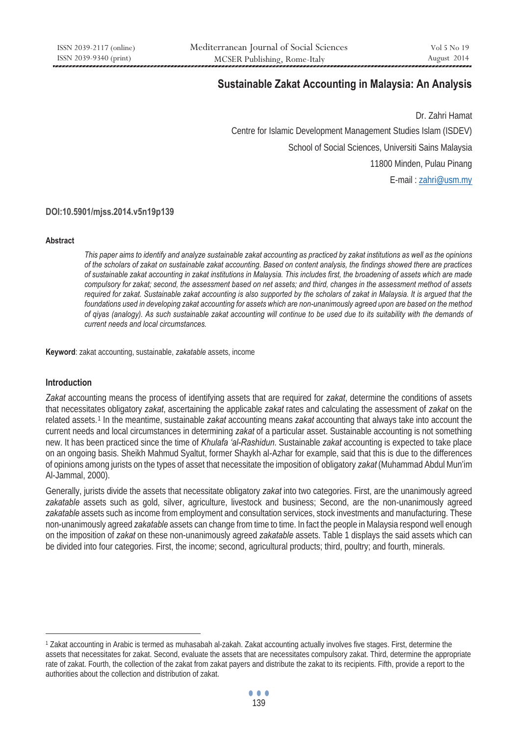# **Sustainable Zakat Accounting in Malaysia: An Analysis**

Dr. Zahri Hamat Centre for Islamic Development Management Studies Islam (ISDEV) School of Social Sciences, Universiti Sains Malaysia 11800 Minden, Pulau Pinang E-mail : zahri@usm.my

#### **DOI:10.5901/mjss.2014.v5n19p139**

#### **Abstract**

*This paper aims to identify and analyze sustainable zakat accounting as practiced by zakat institutions as well as the opinions of the scholars of zakat on sustainable zakat accounting. Based on content analysis, the findings showed there are practices of sustainable zakat accounting in zakat institutions in Malaysia. This includes first, the broadening of assets which are made compulsory for zakat; second, the assessment based on net assets; and third, changes in the assessment method of assets*  required for zakat. Sustainable zakat accounting is also supported by the scholars of zakat in Malaysia. It is argued that the *foundations used in developing zakat accounting for assets which are non-unanimously agreed upon are based on the method of qiyas (analogy). As such sustainable zakat accounting will continue to be used due to its suitability with the demands of current needs and local circumstances.* 

**Keyword**: zakat accounting, sustainable, *zakatable* assets, income

#### **Introduction**

 $\overline{a}$ 

*Zakat* accounting means the process of identifying assets that are required for *zakat*, determine the conditions of assets that necessitates obligatory *zakat*, ascertaining the applicable *zakat* rates and calculating the assessment of *zakat* on the related assets.<sup>1</sup> In the meantime, sustainable zakat accounting means zakat accounting that always take into account the current needs and local circumstances in determining *zakat* of a particular asset. Sustainable accounting is not something new. It has been practiced since the time of *Khulafa 'al-Rashidun*. Sustainable *zakat* accounting is expected to take place on an ongoing basis. Sheikh Mahmud Syaltut, former Shaykh al-Azhar for example, said that this is due to the differences of opinions among jurists on the types of asset that necessitate the imposition of obligatory *zakat* (Muhammad Abdul Mun'im Al-Jammal, 2000).

Generally, jurists divide the assets that necessitate obligatory *zakat* into two categories. First, are the unanimously agreed *zakatable* assets such as gold, silver, agriculture, livestock and business; Second, are the non-unanimously agreed *zakatable* assets such as income from employment and consultation services, stock investments and manufacturing. These non-unanimously agreed *zakatable* assets can change from time to time. In fact the people in Malaysia respond well enough on the imposition of *zakat* on these non-unanimously agreed *zakatable* assets. Table 1 displays the said assets which can be divided into four categories. First, the income; second, agricultural products; third, poultry; and fourth, minerals.

<sup>1</sup> Zakat accounting in Arabic is termed as muhasabah al-zakah. Zakat accounting actually involves five stages. First, determine the assets that necessitates for zakat. Second, evaluate the assets that are necessitates compulsory zakat. Third, determine the appropriate rate of zakat. Fourth, the collection of the zakat from zakat payers and distribute the zakat to its recipients. Fifth, provide a report to the authorities about the collection and distribution of zakat.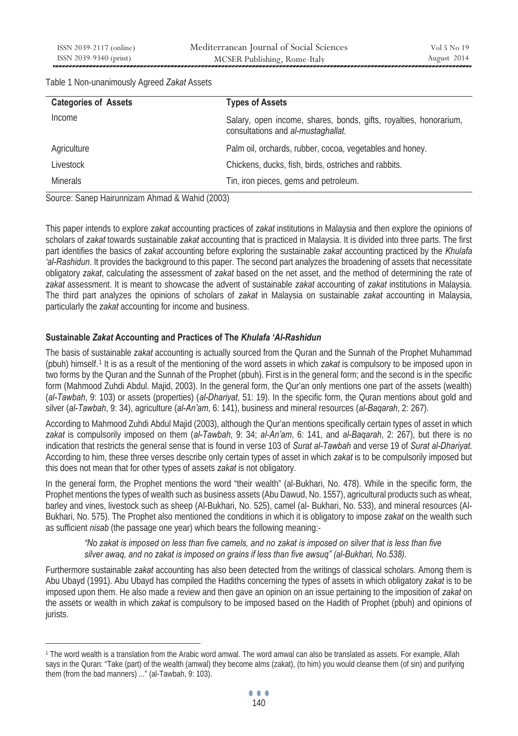$\overline{a}$ 

#### Table 1 Non-unanimously Agreed *Zakat* Assets

| <b>Categories of Assets</b> | <b>Types of Assets</b>                                                                                  |
|-----------------------------|---------------------------------------------------------------------------------------------------------|
| Income                      | Salary, open income, shares, bonds, gifts, royalties, honorarium,<br>consultations and al-mustaghallat. |
| Agriculture                 | Palm oil, orchards, rubber, cocoa, vegetables and honey.                                                |
| Livestock                   | Chickens, ducks, fish, birds, ostriches and rabbits.                                                    |
| <b>Minerals</b>             | Tin, iron pieces, gems and petroleum.                                                                   |

Source: Sanep Hairunnizam Ahmad & Wahid (2003)

This paper intends to explore *zakat* accounting practices of *zakat* institutions in Malaysia and then explore the opinions of scholars of *zakat* towards sustainable *zakat* accounting that is practiced in Malaysia. It is divided into three parts. The first part identifies the basics of *zakat* accounting before exploring the sustainable *zakat* accounting practiced by the *Khulafa 'al-Rashidun*. It provides the background to this paper. The second part analyzes the broadening of assets that necessitate obligatory *zakat*, calculating the assessment of *zakat* based on the net asset, and the method of determining the rate of *zakat* assessment. It is meant to showcase the advent of sustainable *zakat* accounting of *zakat* institutions in Malaysia. The third part analyzes the opinions of scholars of *zakat* in Malaysia on sustainable *zakat* accounting in Malaysia, particularly the *zakat* accounting for income and business.

## **Sustainable** *Zakat* **Accounting and Practices of The** *Khulafa 'Al-Rashidun*

The basis of sustainable *zakat* accounting is actually sourced from the Quran and the Sunnah of the Prophet Muhammad (pbuh) himself.<sup>1</sup> It is as a result of the mentioning of the word assets in which zakat is compulsory to be imposed upon in two forms by the Quran and the Sunnah of the Prophet (pbuh). First is in the general form; and the second is in the specific form (Mahmood Zuhdi Abdul. Majid, 2003). In the general form, the Qur'an only mentions one part of the assets (wealth) (*al-Tawbah*, 9: 103) or assets (properties) (*al-Dhariyat*, 51: 19). In the specific form, the Quran mentions about gold and silver (*al-Tawbah*, 9: 34), agriculture (*al-An'am*, 6: 141), business and mineral resources (*al-Baqarah*, 2: 267).

According to Mahmood Zuhdi Abdul Majid (2003), although the Qur'an mentions specifically certain types of asset in which *zakat* is compulsorily imposed on them (*al-Tawbah*, 9: 34; *al*-*An'am*, 6: 141, and *al-Baqarah*, 2: 267), but there is no indication that restricts the general sense that is found in verse 103 of *Surat al-Tawbah* and verse 19 of *Surat al-Dhariyat*. According to him, these three verses describe only certain types of asset in which *zakat* is to be compulsorily imposed but this does not mean that for other types of assets *zakat* is not obligatory.

In the general form, the Prophet mentions the word "their wealth" (al-Bukhari, No. 478). While in the specific form, the Prophet mentions the types of wealth such as business assets (Abu Dawud, No. 1557), agricultural products such as wheat, barley and vines, livestock such as sheep (Al-Bukhari, No. 525), camel (al- Bukhari, No. 533), and mineral resources (Al-Bukhari, No. 575). The Prophet also mentioned the conditions in which it is obligatory to impose *zakat* on the wealth such as sufficient *nisab* (the passage one year) which bears the following meaning:-

*"No zakat is imposed on less than five camels, and no zakat is imposed on silver that is less than five silver awaq, and no zakat is imposed on grains if less than five awsuq" (al-Bukhari, No.538).* 

Furthermore sustainable *zakat* accounting has also been detected from the writings of classical scholars. Among them is Abu Ubayd (1991). Abu Ubayd has compiled the Hadiths concerning the types of assets in which obligatory *zakat* is to be imposed upon them. He also made a review and then gave an opinion on an issue pertaining to the imposition of *zakat* on the assets or wealth in which *zakat* is compulsory to be imposed based on the Hadith of Prophet (pbuh) and opinions of jurists.

<sup>1</sup> The word wealth is a translation from the Arabic word amwal. The word amwal can also be translated as assets. For example, Allah says in the Quran: "Take (part) of the wealth (amwal) they become alms (zakat), (to him) you would cleanse them (of sin) and purifying them (from the bad manners) ..." (al-Tawbah, 9: 103).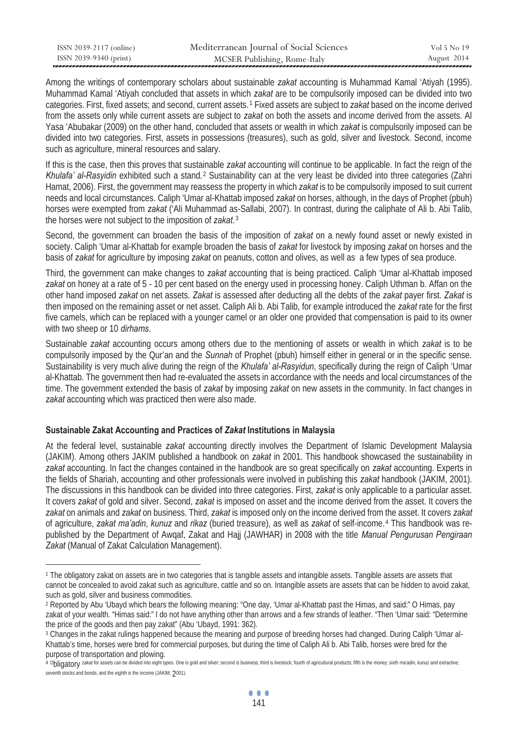| ISSN 2039-2117 (online) | Mediterranean Journal of Social Sciences | Vol 5 No 19 |
|-------------------------|------------------------------------------|-------------|
| ISSN 2039-9340 (print)  | MCSER Publishing, Rome-Italy             | August 2014 |

Among the writings of contemporary scholars about sustainable *zakat* accounting is Muhammad Kamal 'Atiyah (1995). Muhammad Kamal 'Atiyah concluded that assets in which *zakat* are to be compulsorily imposed can be divided into two categories. First, fixed assets; and second, current assets.<sup>1</sup> Fixed assets are subject to zakat based on the income derived from the assets only while current assets are subject to *zakat* on both the assets and income derived from the assets. Al Yasa 'Abubakar (2009) on the other hand, concluded that assets or wealth in which *zakat* is compulsorily imposed can be divided into two categories. First, assets in possessions (treasures), such as gold, silver and livestock. Second, income such as agriculture, mineral resources and salary.

If this is the case, then this proves that sustainable *zakat* accounting will continue to be applicable. In fact the reign of the Khulafa' al-Rasyidin exhibited such a stand.<sup>2</sup> Sustainability can at the very least be divided into three categories (Zahri Hamat, 2006). First, the government may reassess the property in which *zakat* is to be compulsorily imposed to suit current needs and local circumstances. Caliph 'Umar al-Khattab imposed *zakat* on horses, although, in the days of Prophet (pbuh) horses were exempted from *zakat* ('Ali Muhammad as-Sallabi, 2007). In contrast, during the caliphate of Ali b. Abi Talib, the horses were not subject to the imposition of zakat.<sup>3</sup>

Second, the government can broaden the basis of the imposition of *zakat* on a newly found asset or newly existed in society. Caliph 'Umar al-Khattab for example broaden the basis of *zakat* for livestock by imposing *zakat* on horses and the basis of *zakat* for agriculture by imposing *zakat* on peanuts, cotton and olives, as well as a few types of sea produce.

Third, the government can make changes to *zakat* accounting that is being practiced. Caliph 'Umar al-Khattab imposed *zakat* on honey at a rate of 5 - 10 per cent based on the energy used in processing honey. Caliph Uthman b. Affan on the other hand imposed *zakat* on net assets. *Zakat* is assessed after deducting all the debts of the *zakat* payer first. *Zakat* is then imposed on the remaining asset or net asset. Caliph Ali b. Abi Talib, for example introduced the *zakat* rate for the first five camels, which can be replaced with a younger camel or an older one provided that compensation is paid to its owner with two sheep or 10 *dirhams*.

Sustainable *zakat* accounting occurs among others due to the mentioning of assets or wealth in which *zakat* is to be compulsorily imposed by the Qur'an and the *Sunnah* of Prophet (pbuh) himself either in general or in the specific sense. Sustainability is very much alive during the reign of the *Khulafa' al-Rasyidun*, specifically during the reign of Caliph 'Umar al-Khattab. The government then had re-evaluated the assets in accordance with the needs and local circumstances of the time. The government extended the basis of *zakat* by imposing *zakat* on new assets in the community. In fact changes in *zakat* accounting which was practiced then were also made.

#### **Sustainable Zakat Accounting and Practices of** *Zakat* **Institutions in Malaysia**

 $\overline{a}$ 

At the federal level, sustainable *zakat* accounting directly involves the Department of Islamic Development Malaysia (JAKIM). Among others JAKIM published a handbook on *zakat* in 2001. This handbook showcased the sustainability in *zakat* accounting. In fact the changes contained in the handbook are so great specifically on *zakat* accounting. Experts in the fields of Shariah, accounting and other professionals were involved in publishing this *zakat* handbook (JAKIM, 2001). The discussions in this handbook can be divided into three categories. First, *zakat* is only applicable to a particular asset. It covers *zakat* of gold and silver. Second, *zakat* is imposed on asset and the income derived from the asset. It covers the *zakat* on animals and *zakat* on business. Third, *zakat* is imposed only on the income derived from the asset. It covers *zakat* of agriculture, zakat ma'adin, kunuz and rikaz (buried treasure), as well as zakat of self-income.<sup>4</sup> This handbook was republished by the Department of Awqaf, Zakat and Hajj (JAWHAR) in 2008 with the title *Manual Pengurusan Pengiraan Zakat* (Manual of Zakat Calculation Management).

<sup>1</sup> The obligatory zakat on assets are in two categories that is tangible assets and intangible assets. Tangible assets are assets that cannot be concealed to avoid zakat such as agriculture, cattle and so on. Intangible assets are assets that can be hidden to avoid zakat, such as gold, silver and business commodities.<br>2 Reported by Abu 'Ubayd which bears the following meaning: "One day, 'Umar al-Khattab past the Himas, and said:" O Himas, pay

zakat of your wealth. "Himas said:" I do not have anything other than arrows and a few strands of leather. "Then 'Umar said: "Determine the price of the goods and then pay zakat" (Abu 'Ubayd, 1991: 362). 362). 369 and the same shad changed. During Caliph 'Umar al-<br><sup>3</sup> Changes in the zakat rulings happened because the meaning and purpose of breeding horses

Khattab's time, horses were bred for commercial purposes, but during the time of Caliph Ali b. Abi Talib, horses were bred for the purpose of transportation and plowing.<br>4 Obligatory zakal for assels can be divided into eight types. One is gold and silver; second is business; third is livestock; fourth of agricultural products; fifth is the money; six

seventh stocks and bonds; and the eighth is the income (JAKIM, 2001).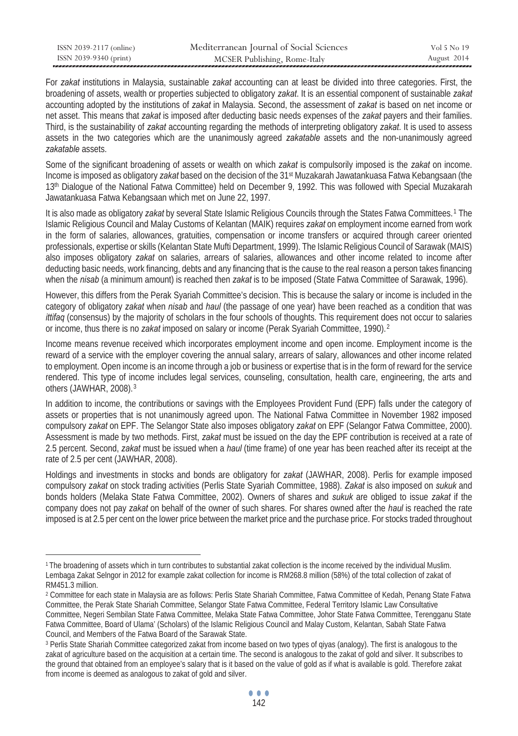| ISSN 2039-2117 (online) | Mediterranean Journal of Social Sciences | Vol 5 No 19 |
|-------------------------|------------------------------------------|-------------|
| ISSN 2039-9340 (print)  | MCSER Publishing, Rome-Italy             | August 2014 |

For *zakat* institutions in Malaysia, sustainable *zakat* accounting can at least be divided into three categories. First, the broadening of assets, wealth or properties subjected to obligatory *zakat*. It is an essential component of sustainable *zakat* accounting adopted by the institutions of *zakat* in Malaysia. Second, the assessment of *zakat* is based on net income or net asset. This means that *zakat* is imposed after deducting basic needs expenses of the *zakat* payers and their families. Third, is the sustainability of *zakat* accounting regarding the methods of interpreting obligatory *zakat*. It is used to assess assets in the two categories which are the unanimously agreed *zakatable* assets and the non-unanimously agreed *zakatable* assets.

Some of the significant broadening of assets or wealth on which *zakat* is compulsorily imposed is the *zakat* on income. Income is imposed as obligatory *zakat* based on the decision of the 31st Muzakarah Jawatankuasa Fatwa Kebangsaan (the 13th Dialogue of the National Fatwa Committee) held on December 9, 1992. This was followed with Special Muzakarah Jawatankuasa Fatwa Kebangsaan which met on June 22, 1997.

It is also made as obligatory zakat by several State Islamic Religious Councils through the States Fatwa Committees.<sup>1</sup> The Islamic Religious Council and Malay Customs of Kelantan (MAIK) requires *zakat* on employment income earned from work in the form of salaries, allowances, gratuities, compensation or income transfers or acquired through career oriented professionals, expertise or skills (Kelantan State Mufti Department, 1999). The Islamic Religious Council of Sarawak (MAIS) also imposes obligatory *zakat* on salaries, arrears of salaries, allowances and other income related to income after deducting basic needs, work financing, debts and any financing that is the cause to the real reason a person takes financing when the *nisab* (a minimum amount) is reached then *zakat* is to be imposed (State Fatwa Committee of Sarawak, 1996).

However, this differs from the Perak Syariah Committee's decision. This is because the salary or income is included in the category of obligatory *zakat* when *nisab* and *haul* (the passage of one year) have been reached as a condition that was *ittifaq* (consensus) by the majority of scholars in the four schools of thoughts. This requirement does not occur to salaries or income, thus there is no zakat imposed on salary or income (Perak Syariah Committee, 1990).<sup>2</sup>

Income means revenue received which incorporates employment income and open income. Employment income is the reward of a service with the employer covering the annual salary, arrears of salary, allowances and other income related to employment. Open income is an income through a job or business or expertise that is in the form of reward for the service rendered. This type of income includes legal services, counseling, consultation, health care, engineering, the arts and others (JAWHAR, 2008).<sup>3</sup>

In addition to income, the contributions or savings with the Employees Provident Fund (EPF) falls under the category of assets or properties that is not unanimously agreed upon. The National Fatwa Committee in November 1982 imposed compulsory *zakat* on EPF. The Selangor State also imposes obligatory *zakat* on EPF (Selangor Fatwa Committee, 2000). Assessment is made by two methods. First, *zakat* must be issued on the day the EPF contribution is received at a rate of 2.5 percent. Second, *zakat* must be issued when a *haul* (time frame) of one year has been reached after its receipt at the rate of 2.5 per cent (JAWHAR, 2008).

Holdings and investments in stocks and bonds are obligatory for *zakat* (JAWHAR, 2008). Perlis for example imposed compulsory *zakat* on stock trading activities (Perlis State Syariah Committee, 1988). *Zakat* is also imposed on *sukuk* and bonds holders (Melaka State Fatwa Committee, 2002). Owners of shares and *sukuk* are obliged to issue *zakat* if the company does not pay *zakat* on behalf of the owner of such shares. For shares owned after the *haul* is reached the rate imposed is at 2.5 per cent on the lower price between the market price and the purchase price. For stocks traded throughout

 $\overline{a}$ 

<sup>1</sup> The broadening of assets which in turn contributes to substantial zakat collection is the income received by the individual Muslim. Lembaga Zakat Selngor in 2012 for example zakat collection for income is RM268.8 million (58%) of the total collection of zakat of RM451.3 million.

<sup>2</sup> Committee for each state in Malaysia are as follows: Perlis State Shariah Committee, Fatwa Committee of Kedah, Penang State Fatwa Committee, the Perak State Shariah Committee, Selangor State Fatwa Committee, Federal Territory Islamic Law Consultative Committee, Negeri Sembilan State Fatwa Committee, Melaka State Fatwa Committee, Johor State Fatwa Committee, Terengganu State Fatwa Committee, Board of Ulama' (Scholars) of the Islamic Religious Council and Malay Custom, Kelantan, Sabah State Fatwa<br>Council, and Members of the Fatwa Board of the Sarawak State.

<sup>&</sup>lt;sup>3</sup> Perlis State Shariah Committee categorized zakat from income based on two types of qiyas (analogy). The first is analogous to the zakat of agriculture based on the acquisition at a certain time. The second is analogous to the zakat of gold and silver. It subscribes to the ground that obtained from an employee's salary that is it based on the value of gold as if what is available is gold. Therefore zakat from income is deemed as analogous to zakat of gold and silver.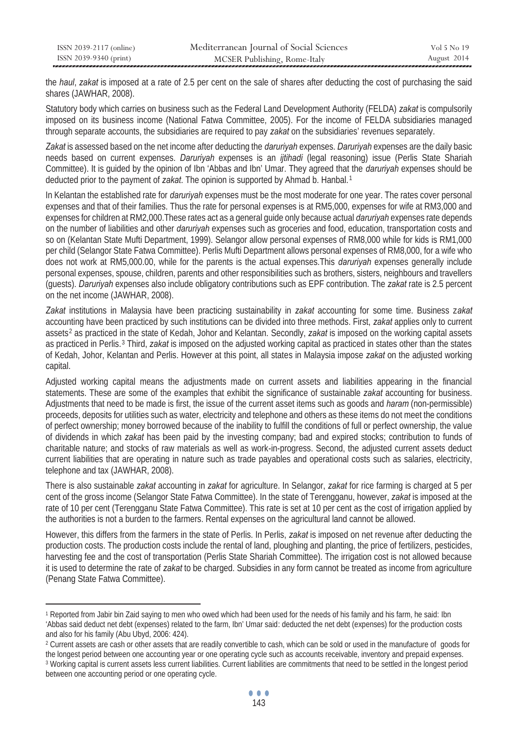the *haul*, *zakat* is imposed at a rate of 2.5 per cent on the sale of shares after deducting the cost of purchasing the said shares (JAWHAR, 2008).

Statutory body which carries on business such as the Federal Land Development Authority (FELDA) *zakat* is compulsorily imposed on its business income (National Fatwa Committee, 2005). For the income of FELDA subsidiaries managed through separate accounts, the subsidiaries are required to pay *zakat* on the subsidiaries' revenues separately.

*Zakat* is assessed based on the net income after deducting the *daruriyah* expenses. *Daruriyah* expenses are the daily basic needs based on current expenses. *Daruriyah* expenses is an *ijtihadi* (legal reasoning) issue (Perlis State Shariah Committee). It is guided by the opinion of Ibn 'Abbas and Ibn' Umar. They agreed that the *daruriyah* expenses should be deducted prior to the payment of zakat. The opinion is supported by Ahmad b. Hanbal.<sup>1</sup>

In Kelantan the established rate for *daruriyah* expenses must be the most moderate for one year. The rates cover personal expenses and that of their families. Thus the rate for personal expenses is at RM5,000, expenses for wife at RM3,000 and expenses for children at RM2,000.These rates act as a general guide only because actual *daruriyah* expenses rate depends on the number of liabilities and other *daruriyah* expenses such as groceries and food, education, transportation costs and so on (Kelantan State Mufti Department, 1999). Selangor allow personal expenses of RM8,000 while for kids is RM1,000 per child (Selangor State Fatwa Committee). Perlis Mufti Department allows personal expenses of RM8,000, for a wife who does not work at RM5,000.00, while for the parents is the actual expenses.This *daruriyah* expenses generally include personal expenses, spouse, children, parents and other responsibilities such as brothers, sisters, neighbours and travellers (guests). *Daruriyah* expenses also include obligatory contributions such as EPF contribution. The *zakat* rate is 2.5 percent on the net income (JAWHAR, 2008).

*Zakat* institutions in Malaysia have been practicing sustainability in *zakat* accounting for some time. Business z*akat* accounting have been practiced by such institutions can be divided into three methods. First, *zakat* applies only to current assets<sup>2</sup> as practiced in the state of Kedah, Johor and Kelantan. Secondly, zakat is imposed on the working capital assets as practiced in Perlis.<sup>3</sup> Third, *zakat* is imposed on the adjusted working capital as practiced in states other than the states of Kedah, Johor, Kelantan and Perlis. However at this point, all states in Malaysia impose *zakat* on the adjusted working capital.

Adjusted working capital means the adjustments made on current assets and liabilities appearing in the financial statements. These are some of the examples that exhibit the significance of sustainable *zakat* accounting for business. Adjustments that need to be made is first, the issue of the current asset items such as goods and *haram* (non-permissible) proceeds, deposits for utilities such as water, electricity and telephone and others as these items do not meet the conditions of perfect ownership; money borrowed because of the inability to fulfill the conditions of full or perfect ownership, the value of dividends in which *zakat* has been paid by the investing company; bad and expired stocks; contribution to funds of charitable nature; and stocks of raw materials as well as work-in-progress. Second, the adjusted current assets deduct current liabilities that are operating in nature such as trade payables and operational costs such as salaries, electricity, telephone and tax (JAWHAR, 2008).

There is also sustainable *zakat* accounting in *zakat* for agriculture. In Selangor, *zakat* for rice farming is charged at 5 per cent of the gross income (Selangor State Fatwa Committee). In the state of Terengganu, however, *zakat* is imposed at the rate of 10 per cent (Terengganu State Fatwa Committee). This rate is set at 10 per cent as the cost of irrigation applied by the authorities is not a burden to the farmers. Rental expenses on the agricultural land cannot be allowed.

However, this differs from the farmers in the state of Perlis. In Perlis, *zakat* is imposed on net revenue after deducting the production costs. The production costs include the rental of land, ploughing and planting, the price of fertilizers, pesticides, harvesting fee and the cost of transportation (Perlis State Shariah Committee). The irrigation cost is not allowed because it is used to determine the rate of *zakat* to be charged. Subsidies in any form cannot be treated as income from agriculture (Penang State Fatwa Committee).

 $\overline{a}$ 

<sup>1</sup> Reported from Jabir bin Zaid saying to men who owed which had been used for the needs of his family and his farm, he said: Ibn 'Abbas said deduct net debt (expenses) related to the farm, Ibn' Umar said: deducted the net debt (expenses) for the production costs and also for his family (Abu Ubyd, 2006: 424).<br><sup>2</sup> Current assets are cash or other assets that are readily convertible to cash, which can be sold or used in the manufacture of goods for

the longest period between one accounting year or one operating cycle such as accounts receivable, inventory and prepaid expenses.<br><sup>3</sup> Working capital is current assets less current liabilities. Current liabilities are com

between one accounting period or one operating cycle.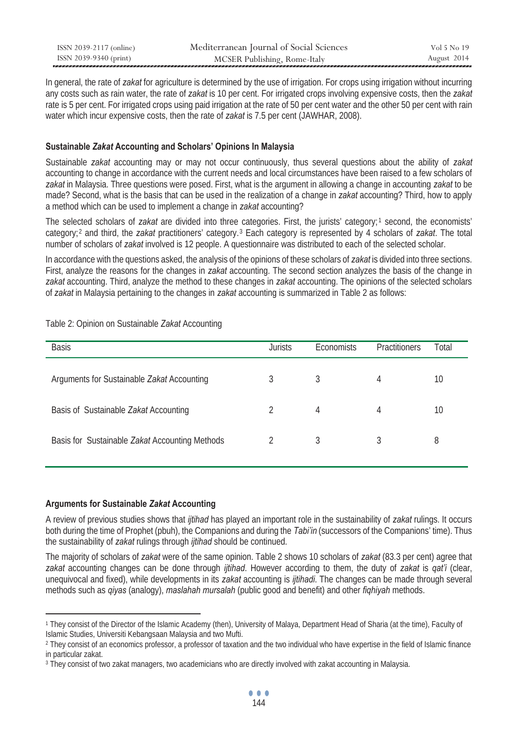| ISSN 2039-2117 (online) | Mediterranean Journal of Social Sciences | Vol 5 No 19 |
|-------------------------|------------------------------------------|-------------|
| ISSN 2039-9340 (print)  | MCSER Publishing, Rome-Italy             | August 2014 |

In general, the rate of *zakat* for agriculture is determined by the use of irrigation. For crops using irrigation without incurring any costs such as rain water, the rate of *zakat* is 10 per cent. For irrigated crops involving expensive costs, then the *zakat* rate is 5 per cent. For irrigated crops using paid irrigation at the rate of 50 per cent water and the other 50 per cent with rain water which incur expensive costs, then the rate of *zakat* is 7.5 per cent (JAWHAR, 2008).

#### **Sustainable** *Zakat* **Accounting and Scholars' Opinions In Malaysia**

Sustainable *zakat* accounting may or may not occur continuously, thus several questions about the ability of *zakat* accounting to change in accordance with the current needs and local circumstances have been raised to a few scholars of *zakat* in Malaysia. Three questions were posed. First, what is the argument in allowing a change in accounting *zakat* to be made? Second, what is the basis that can be used in the realization of a change in *zakat* accounting? Third, how to apply a method which can be used to implement a change in *zakat* accounting?

The selected scholars of zakat are divided into three categories. First, the jurists' category;<sup>1</sup> second, the economists' category;<sup>2</sup> and third, the *zakat* practitioners' category.<sup>3</sup> Each category is represented by 4 scholars of *zakat*. The total number of scholars of *zakat* involved is 12 people. A questionnaire was distributed to each of the selected scholar.

In accordance with the questions asked, the analysis of the opinions of these scholars of *zakat* is divided into three sections. First, analyze the reasons for the changes in *zakat* accounting. The second section analyzes the basis of the change in *zakat* accounting. Third, analyze the method to these changes in *zakat* accounting. The opinions of the selected scholars of *zakat* in Malaysia pertaining to the changes in *zakat* accounting is summarized in Table 2 as follows:

| <b>Basis</b>                                   | <b>Jurists</b> | Economists | <b>Practitioners</b> | Total |
|------------------------------------------------|----------------|------------|----------------------|-------|
| Arguments for Sustainable Zakat Accounting     |                | 3          | 4                    | 10    |
| Basis of Sustainable Zakat Accounting          |                | 4          | 4                    | 10    |
| Basis for Sustainable Zakat Accounting Methods |                | 3          |                      | 8     |

Table 2: Opinion on Sustainable *Zakat* Accounting

#### **Arguments for Sustainable** *Zakat* **Accounting**

 $\overline{a}$ 

A review of previous studies shows that *ijtihad* has played an important role in the sustainability of *zakat* rulings. It occurs both during the time of Prophet (pbuh), the Companions and during the *Tabi'in* (successors of the Companions' time). Thus the sustainability of *zakat* rulings through *ijtihad* should be continued.

The majority of scholars of *zakat* were of the same opinion. Table 2 shows 10 scholars of *zakat* (83.3 per cent) agree that *zakat* accounting changes can be done through *ijtihad*. However according to them, the duty of *zakat* is *qat'i* (clear, unequivocal and fixed), while developments in its *zakat* accounting is *ijtihadi*. The changes can be made through several methods such as *qiyas* (analogy), *maslahah mursalah* (public good and benefit) and other *fiqhiyah* methods.

<sup>1</sup> They consist of the Director of the Islamic Academy (then), University of Malaya, Department Head of Sharia (at the time), Faculty of

Islamic Studies, Universiti Kebangsaan Malaysia and two Mufti.<br><sup>2</sup> They consist of an economics professor, a professor of taxation and the two individual who have expertise in the field of Islamic finance in particular zakat.

<sup>3</sup> They consist of two zakat managers, two academicians who are directly involved with zakat accounting in Malaysia.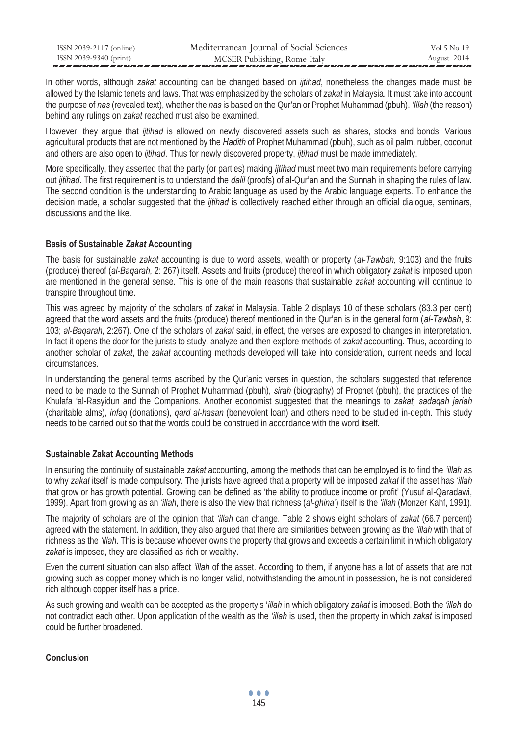| ISSN 2039-2117 (online) | Mediterranean Journal of Social Sciences | Vol 5 No 19 |
|-------------------------|------------------------------------------|-------------|
| ISSN 2039-9340 (print)  | MCSER Publishing, Rome-Italy             | August 2014 |

In other words, although *zakat* accounting can be changed based on *ijtihad*, nonetheless the changes made must be allowed by the Islamic tenets and laws. That was emphasized by the scholars of *zakat* in Malaysia. It must take into account the purpose of *nas* (revealed text), whether the *nas* is based on the Qur'an or Prophet Muhammad (pbuh). *'Illah* (the reason) behind any rulings on *zakat* reached must also be examined.

However, they argue that *ijtihad* is allowed on newly discovered assets such as shares, stocks and bonds. Various agricultural products that are not mentioned by the *Hadith* of Prophet Muhammad (pbuh), such as oil palm, rubber, coconut and others are also open to *ijtihad*. Thus for newly discovered property, *ijtihad* must be made immediately.

More specifically, they asserted that the party (or parties) making *ijtihad* must meet two main requirements before carrying out *ijtihad*. The first requirement is to understand the *dalil* (proofs) of al-Qur'an and the Sunnah in shaping the rules of law. The second condition is the understanding to Arabic language as used by the Arabic language experts. To enhance the decision made, a scholar suggested that the *ijtihad* is collectively reached either through an official dialogue, seminars, discussions and the like.

### **Basis of Sustainable** *Zakat* **Accounting**

The basis for sustainable *zakat* accounting is due to word assets, wealth or property (*al-Tawbah,* 9:103) and the fruits (produce) thereof (*al-Baqarah,* 2: 267) itself. Assets and fruits (produce) thereof in which obligatory *zakat* is imposed upon are mentioned in the general sense. This is one of the main reasons that sustainable *zakat* accounting will continue to transpire throughout time.

This was agreed by majority of the scholars of *zakat* in Malaysia. Table 2 displays 10 of these scholars (83.3 per cent) agreed that the word assets and the fruits (produce) thereof mentioned in the Qur'an is in the general form (*al-Tawbah*, 9: 103; *al-Baqarah*, 2:267). One of the scholars of *zakat* said, in effect, the verses are exposed to changes in interpretation. In fact it opens the door for the jurists to study, analyze and then explore methods of *zakat* accounting. Thus, according to another scholar of *zakat*, the *zakat* accounting methods developed will take into consideration, current needs and local circumstances.

In understanding the general terms ascribed by the Qur'anic verses in question, the scholars suggested that reference need to be made to the Sunnah of Prophet Muhammad (pbuh), *sirah* (biography) of Prophet (pbuh), the practices of the Khulafa 'al-Rasyidun and the Companions. Another economist suggested that the meanings to *zakat, sadaqah jariah*  (charitable alms), *infaq* (donations), *qard al-hasan* (benevolent loan) and others need to be studied in-depth. This study needs to be carried out so that the words could be construed in accordance with the word itself.

## **Sustainable Zakat Accounting Methods**

In ensuring the continuity of sustainable *zakat* accounting, among the methods that can be employed is to find the *'illah* as to why *zakat* itself is made compulsory. The jurists have agreed that a property will be imposed *zakat* if the asset has *'illah* that grow or has growth potential. Growing can be defined as 'the ability to produce income or profit' (Yusuf al-Qaradawi, 1999). Apart from growing as an *'illah*, there is also the view that richness (*al-ghina'*) itself is the *'illah* (Monzer Kahf, 1991).

The majority of scholars are of the opinion that *'illah* can change. Table 2 shows eight scholars of *zakat* (66.7 percent) agreed with the statement. In addition, they also argued that there are similarities between growing as the *'illah* with that of richness as the *'illah*. This is because whoever owns the property that grows and exceeds a certain limit in which obligatory zakat is imposed, they are classified as rich or wealthy.

Even the current situation can also affect *'illah* of the asset. According to them, if anyone has a lot of assets that are not growing such as copper money which is no longer valid, notwithstanding the amount in possession, he is not considered rich although copper itself has a price.

As such growing and wealth can be accepted as the property's '*illah* in which obligatory *zakat* is imposed. Both the *'illah* do not contradict each other. Upon application of the wealth as the *'illah* is used, then the property in which *zakat* is imposed could be further broadened.

## **Conclusion**